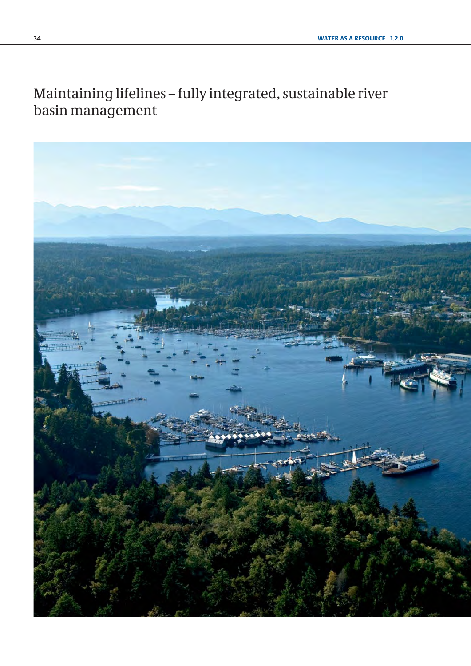# Maintaining lifelines – fully integrated, sustainable river basin management

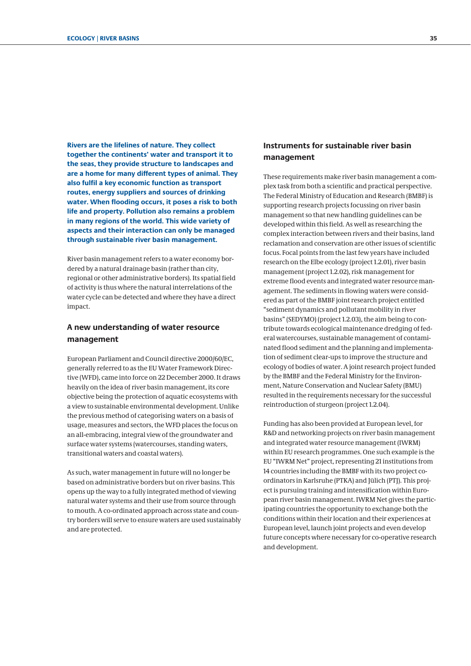**Rivers are the lifelines of nature. They collect together the continents' water and transport it to the seas, they provide structure to landscapes and are a home for many different types of animal. They also fulfil a key economic function as transport routes, energy suppliers and sources of drinking water. When flooding occurs, it poses a risk to both life and property. Pollution also remains a problem in many regions of the world. This wide variety of aspects and their interaction can only be managed through sustainable river basin management.** 

River basin management refers to a water economy bordered by a natural drainage basin (rather than city, regional or other administrative borders). Its spatial field of activity is thus where the natural interrelations of the water cycle can be detected and where they have a direct impact.

## **A new understanding of water resource management**

European Parliament and Council directive 2000/60/EC, generally referred to as the EU Water Framework Directive (WFD), came into force on 22 December 2000. It draws heavily on the idea of river basin management, its core objective being the protection of aquatic ecosystems with a view to sustainable environmental development. Unlike the previous method of categorising waters on a basis of usage, measures and sectors, the WFD places the focus on an all-embracing, integral view of the groundwater and surface water systems (watercourses, standing waters, transitional waters and coastal waters).

As such, water management in future will no longer be based on administrative borders but on river basins. This opens up the way to a fully integrated method of viewing natural water systems and their use from source through to mouth. A co-ordinated approach across state and country borders will serve to ensure waters are used sustainably and are protected.

## **Instruments for sustainable river basin management**

These requirements make river basin management a complex task from both a scientific and practical perspective. The Federal Ministry of Education and Research (BMBF) is supporting research projects focussing on river basin management so that new handling guidelines can be developed within this field. As well as researching the complex interaction between rivers and their basins, land reclamation and conservation are other issues of scientific focus. Focal points from the last few years have included research on the Elbe ecology [\(project 1.2.01\),](#page-2-0) river basin management ([project 1.2.02\),](#page-4-0) risk management for extreme flood events and integrated water resource management. The sediments in flowing waters were considered as part of the BMBF joint research project entitled "sediment dynamics and pollutant mobility in river basins" [\(SEDYMO\)](http://www.tu-harburg.de/iue/sedymo/english/e_maine.htm) [\(project 1.2.03\),](#page-6-0) the aim being to contribute towards ecological maintenance dredging of federal watercourses, sustainable management of contaminated flood sediment and the planning and implementation of sediment clear-ups to improve the structure and ecology of bodies of water. A joint research project funded by the BMBF and the Federal Ministry for the Environment, Nature Conservation and Nuclear Safety (BMU) resulted in the requirements necessary for the successful reintroduction of sturgeon [\(project 1.2.04\).](#page-8-0) 

Funding has also been provided at European level, for R&D and networking projects on river basin management and [integrated water resource management \(IWRM\)](http://www.bmbf.wasserressourcen-management.de/en/index.php) within EU research programmes. One such example is the EU ["IWRM Net"](http://www.fona.de/de/9843 verlinken) project, representing 21 institutions from 14 countries including the BMBF with its two project coordinators in Karlsruhe (PTKA) and Jülich (PTJ). This project is pursuing training and intensification within European river basin management. IWRM Net gives the participating countries the opportunity to exchange both the conditions within their location and their experiences at European level, launch joint projects and even develop future concepts where necessary for co-operative research and development.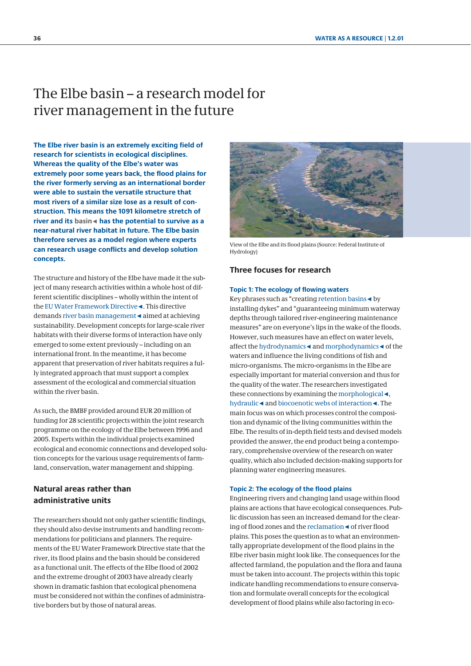# <span id="page-2-0"></span>The Elbe basin – a research model for river management in the future

**The Elbe river basin is an extremely exciting field of research for scientists in ecological disciplines. Whereas the quality of the Elbe's water was extremely poor some years back, the flood plains for the river formerly serving as an international border were able to sustain the versatile structure that most rivers of a similar size lose as a result of construction. This means the 1091 kilometre stretch of river and its basin**◄ **has the potential to survive as a near-natural river habitat in future. The Elbe basin therefore serves as a model region where experts can research usage conflicts and develop solution concepts.**

The structure and history of the Elbe have made it the subject of many research activities within a whole host of different scientific disciplines – wholly within the intent of the EU Water Framework Directive◄. This directive demands river basin management◄ aimed at achieving sustainability. Development concepts for large-scale river habitats with their diverse forms of interaction have only emerged to some extent previously – including on an international front. In the meantime, it has become apparent that preservation of river habitats requires a fully integrated approach that must support a complex assessment of the ecological and commercial situation within the river basin.

As such, the BMBF provided around EUR 20 million of funding for 28 scientific projects within the joint research programme on the ecology of the Elbe between 1996 and 2005. Experts within the individual projects examined ecological and economic connections and developed solution concepts for the various usage requirements of farmland, conservation, water management and shipping.

## **Natural areas rather than administrative units**

The researchers should not only gather scientific findings, they should also devise instruments and handling recommendations for politicians and planners. The requirements of the EU Water Framework Directive state that the river, its flood plains and the basin should be considered as a functional unit. The effects of the Elbe flood of 2002 and the extreme drought of 2003 have already clearly shown in dramatic fashion that ecological phenomena must be considered not within the confines of administrative borders but by those of natural areas.



View of the Elbe and its flood plains (Source: Federal Institute of Hydrology)

## **Three focuses for research**

### **Topic 1: The ecology of flowing waters**

Key phrases such as "creating retention basins◄ by installing dykes" and "guaranteeing minimum waterway depths through tailored river-engineering maintenance measures" are on everyone's lips in the wake of the floods. However, such measures have an effect on water levels, affect the hydrodynamics◄ and morphodynamics◄ of the waters and influence the living conditions of fish and micro-organisms. The micro-organisms in the Elbe are especially important for material conversion and thus for the quality of the water. The researchers investigated these connections by examining the morphological◄, hydraulic◄ and biocoenotic webs of interaction◄. The main focus was on which processes control the composition and dynamic of the living communities within the Elbe. The results of in-depth field tests and devised models provided the answer, the end product being a contemporary, comprehensive overview of the research on water quality, which also included decision-making supports for planning water engineering measures.

#### **Topic 2: The ecology of the flood plains**

Engineering rivers and changing land usage within flood plains are actions that have ecological consequences. Public discussion has seen an increased demand for the clearing of flood zones and the reclamation◄ of river flood plains. This poses the question as to what an environmentally appropriate development of the flood plains in the Elbe river basin might look like. The consequences for the affected farmland, the population and the flora and fauna must be taken into account. The projects within this topic indicate handling recommendations to ensure conservation and formulate overall concepts for the ecological development of flood plains while also factoring in eco-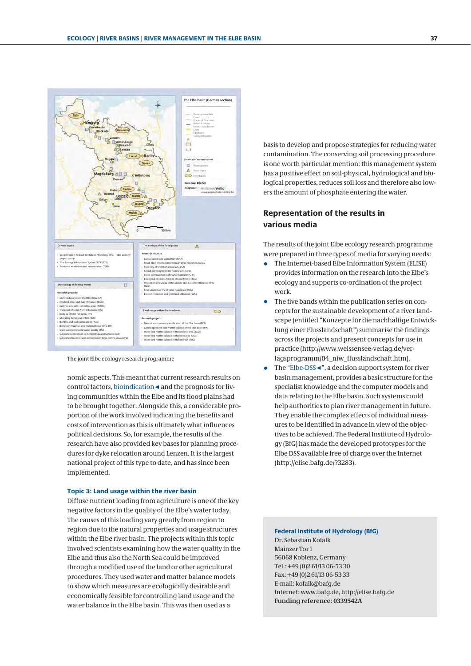

The joint Elbe ecology research programme

nomic aspects. This meant that current research results on control factors, bioindication◄ and the prognosis for living communities within the Elbe and its flood plains had to be brought together. Alongside this, a considerable proportion of the work involved indicating the benefits and costs of intervention as this is ultimately what influences political decisions. So, for example, the results of the research have also provided key bases for planning procedures for dyke relocation around Lenzen. It is the largest national project of this type to date, and has since been implemented.

#### **Topic 3: Land usage within the river basin**

Diffuse nutrient loading from agriculture is one of the key negative factors in the quality of the Elbe's water today. The causes of this loading vary greatly from region to region due to the natural properties and usage structures within the Elbe river basin. The projects within this topic involved scientists examining how the water quality in the Elbe and thus also the North Sea could be improved through a modified use of the land or other agricultural procedures. They used water and matter balance models to show which measures are ecologically desirable and economically feasible for controlling land usage and the water balance in the Elbe basin. This was then used as a

basis to develop and propose strategies for reducing water contamination. The conserving soil processing procedure is one worth particular mention: this management system has a positive effect on soil-physical, hydrological and biological properties, reduces soil loss and therefore also lowers the amount of phosphate entering the water.

## **Representation of the results in various media**

The results of the joint Elbe ecology research programme were prepared in three types of media for varying needs:

- The Internet-based Elbe Information System (ELISE) provides information on the research into the Elbe's ecology and supports co-ordination of the project work.
- The five bands within the publication series on concepts for the sustainable development of a river landscape (entitled "Konzepte für die nachhaltige Entwicklung einer Flusslandschaft") summarise the findings across the projects and present concepts for use in practice (http://www.weissensee-verlag.de/verlagsprogramm/04\_niw\_flusslandschaft.htm).
- The "Elbe-DSS <", a decision support system for river basin management, provides a basic structure for the specialist knowledge and the computer models and data relating to the Elbe basin. Such systems could help authorities to plan river management in future. They enable the complex effects of individual measures to be identified in advance in view of the objectives to be achieved. The Federal Institute of Hydrology (BfG) has made the developed prototypes for the Elbe DSS available free of charge over the Internet (http://elise.bafg.de/?3283).

### **Federal Institute of Hydrology (BfG)** Dr. Sebastian Kofalk Mainzer Tor 1 56068 Koblenz, Germany Tel.: +49 (0)2 61/13 06-53 30 Fax: +49 (0)2 61/13 06-53 33 E-mail: kofalk@bafg.de Internet: www.bafg.de, http://elise.bafg.de **Funding reference: 0339542A**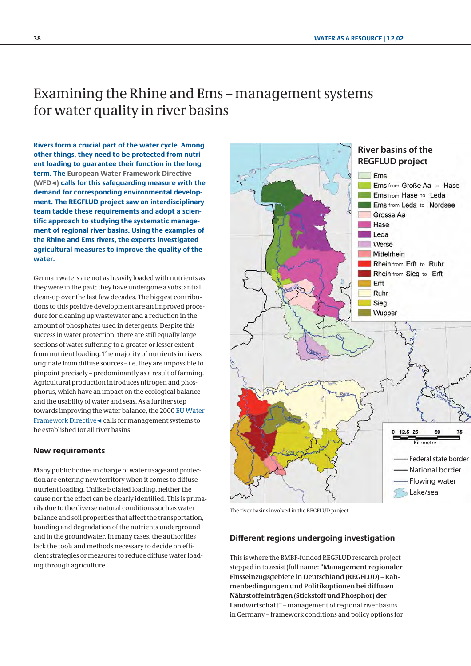# <span id="page-4-0"></span>Examining the Rhine and Ems – management systems for water quality in river basins

**Rivers form a crucial part of the water cycle. Among other things, they need to be protected from nutrient loading to guarantee their function in the long term. The European Water Framework Directive (WFD**◄**) calls for this safeguarding measure with the demand for corresponding environmental development. The REGFLUD project saw an interdisciplinary team tackle these requirements and adopt a scientific approach to studying the systematic management of regional river basins. Using the examples of the Rhine and Ems rivers, the experts investigated agricultural measures to improve the quality of the water.**

German waters are not as heavily loaded with nutrients as they were in the past; they have undergone a substantial clean-up over the last few decades. The biggest contributions to this positive development are an improved procedure for cleaning up wastewater and a reduction in the amount of phosphates used in detergents. Despite this success in water protection, there are still equally large sections of water suffering to a greater or lesser extent from nutrient loading. The majority of nutrients in rivers originate from diffuse sources – i.e. they are impossible to pinpoint precisely – predominantly as a result of farming. Agricultural production introduces nitrogen and phosphorus, which have an impact on the ecological balance and the usability of water and seas. As a further step towards improving the water balance, the 2000 EU Water Framework Directive◄ calls for management systems to be established for all river basins.

### **New requirements**

Many public bodies in charge of water usage and protection are entering new territory when it comes to diffuse nutrient loading. Unlike isolated loading, neither the cause nor the effect can be clearly identified. This is primarily due to the diverse natural conditions such as water balance and soil properties that affect the transportation, bonding and degradation of the nutrients underground and in the groundwater. In many cases, the authorities lack the tools and methods necessary to decide on efficient strategies or measures to reduce diffuse water loading through agriculture.



The river basins involved in the REGFLUD project

### **Different regions undergoing investigation**

This is where the BMBF-funded REGFLUD research project stepped in to assist (full name: **"Management regionaler Flusseinzugsgebiete in Deutschland (REGFLUD) – Rahmenbedingungen und Politikoptionen bei diffusen Nährstoffeinträgen (Stickstoff und Phosphor) der Landwirtschaft"** – management of regional river basins in Germany – framework conditions and policy options for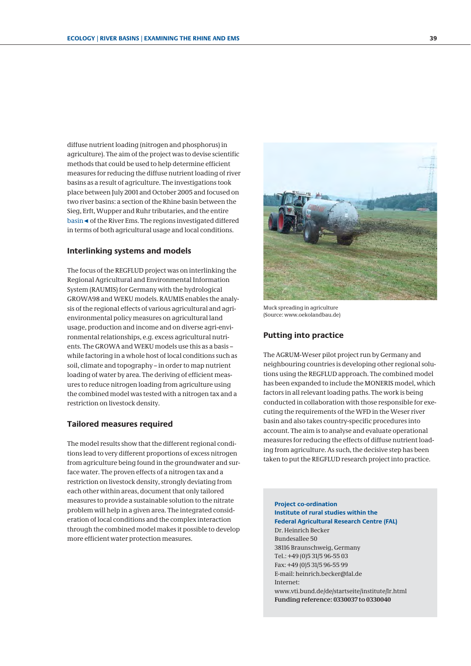diffuse nutrient loading (nitrogen and phosphorus) in agriculture). The aim of the project was to devise scientific methods that could be used to help determine efficient measures for reducing the diffuse nutrient loading of river basins as a result of agriculture. The investigations took place between July 2001 and October 2005 and focused on two river basins: a section of the Rhine basin between the Sieg, Erft, Wupper and Ruhr tributaries, and the entire basin◄ of the River Ems. The regions investigated differed in terms of both agricultural usage and local conditions.

#### **Interlinking systems and models**

The focus of the REGFLUD project was on interlinking the Regional Agricultural and Environmental Information System (RAUMIS) for Germany with the hydrological GROWA98 and WEKU models. RAUMIS enables the analysis of the regional effects of various agricultural and agrienvironmental policy measures on agricultural land usage, production and income and on diverse agri-environmental relationships, e.g. excess agricultural nutrients. The GROWA and WEKU models use this as a basis – while factoring in a whole host of local conditions such as soil, climate and topography – in order to map nutrient loading of water by area. The deriving of efficient measures to reduce nitrogen loading from agriculture using the combined model was tested with a nitrogen tax and a restriction on livestock density.

#### **Tailored measures required**

The model results show that the different regional conditions lead to very different proportions of excess nitrogen from agriculture being found in the groundwater and surface water. The proven effects of a nitrogen tax and a restriction on livestock density, strongly deviating from each other within areas, document that only tailored measures to provide a sustainable solution to the nitrate problem will help in a given area. The integrated consideration of local conditions and the complex interaction through the combined model makes it possible to develop more efficient water protection measures.



Muck spreading in agriculture (Source: www.oekolandbau.de)

## **Putting into practice**

The AGRUM-Weser pilot project run by Germany and neighbouring countries is developing other regional solutions using the REGFLUD approach. The combined model has been expanded to include the MONERIS model, which factors in all relevant loading paths. The work is being conducted in collaboration with those responsible for executing the requirements of the WFD in the Weser river basin and also takes country-specific procedures into account. The aim is to analyse and evaluate operational measures for reducing the effects of diffuse nutrient loading from agriculture. As such, the decisive step has been taken to put the REGFLUD research project into practice.

**Project co-ordination Institute of rural studies within the Federal Agricultural Research Centre (FAL)** Dr. Heinrich Becker Bundesallee 50 38116 Braunschweig, Germany Tel.: +49 (0)5 31/5 96-55 03 Fax: +49 (0)5 31/5 96-55 99 E-mail: heinrich.becker@fal.de Internet: www.vti.bund.de/de/startseite/institute/lr.html **Funding reference: 0330037 to 0330040**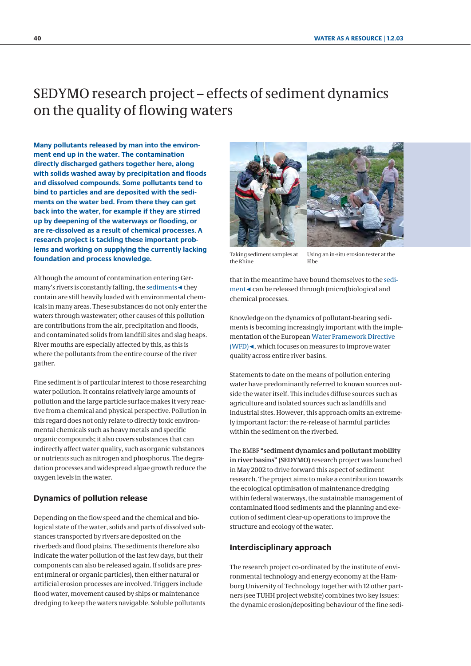# <span id="page-6-0"></span>[SEDYMO](http://www.tu-harburg.de/iue/sedymo/english/e_maine.htm) research project – effects of sediment dynamics on the quality of flowing waters

**Many pollutants released by man into the environment end up in the water. The contamination directly discharged gathers together here, along with solids washed away by precipitation and floods and dissolved compounds. Some pollutants tend to bind to particles and are deposited with the sediments on the water bed. From there they can get back into the water, for example if they are stirred up by deepening of the waterways or flooding, or are re-dissolved as a result of chemical processes. A research project is tackling these important problems and working on supplying the currently lacking foundation and process knowledge.**

Although the amount of contamination entering Germany's rivers is constantly falling, the sediments◄ they contain are still heavily loaded with environmental chemicals in many areas. These substances do not only enter the waters through wastewater; other causes of this pollution are contributions from the air, precipitation and floods, and contaminated solids from landfill sites and slag heaps. River mouths are especially affected by this, as this is where the pollutants from the entire course of the river gather.

Fine sediment is of particular interest to those researching water pollution. It contains relatively large amounts of pollution and the large particle surface makes it very reactive from a chemical and physical perspective. Pollution in this regard does not only relate to directly toxic environmental chemicals such as heavy metals and specific organic compounds; it also covers substances that can indirectly affect water quality, such as organic substances or nutrients such as nitrogen and phosphorus. The degradation processes and widespread algae growth reduce the oxygen levels in the water.

## **Dynamics of pollution release**

Depending on the flow speed and the chemical and biological state of the water, solids and parts of dissolved substances transported by rivers are deposited on the riverbeds and flood plains. The sediments therefore also indicate the water pollution of the last few days, but their components can also be released again. If solids are present (mineral or organic particles), then either natural or artificial erosion processes are involved. Triggers include flood water, movement caused by ships or maintenance dredging to keep the waters navigable. Soluble pollutants



Taking sediment samples at the Rhine

Using an in-situ erosion tester at the Elbe

that in the meantime have bound themselves to the sediment◄ can be released through (micro)biological and chemical processes.

Knowledge on the dynamics of pollutant-bearing sediments is becoming increasingly important with the implementation of the European Water Framework Directive (WFD)◄, which focuses on measures to improve water quality across entire river basins.

Statements to date on the means of pollution entering water have predominantly referred to known sources outside the water itself. This includes diffuse sources such as agriculture and isolated sources such as landfills and industrial sites. However, this approach omits an extremely important factor: the re-release of harmful particles within the sediment on the riverbed.

The BMBF **"sediment dynamics and pollutant mobility in river basins" (SEDYMO)** research project was launched in May 2002 to drive forward this aspect of sediment research. The project aims to make a contribution towards the ecological optimisation of maintenance dredging within federal waterways, the sustainable management of contaminated flood sediments and the planning and execution of sediment clear-up operations to improve the structure and ecology of the water.

### **Interdisciplinary approach**

The research project co-ordinated by the institute of environmental technology and energy economy at the Hamburg University of Technology together with 12 other partners [\(see TUHH project website\)](http://www.tu-harburg.de/iue/sedymo/english/e_maine.htm) combines two key issues: the dynamic erosion/depositing behaviour of the fine sedi-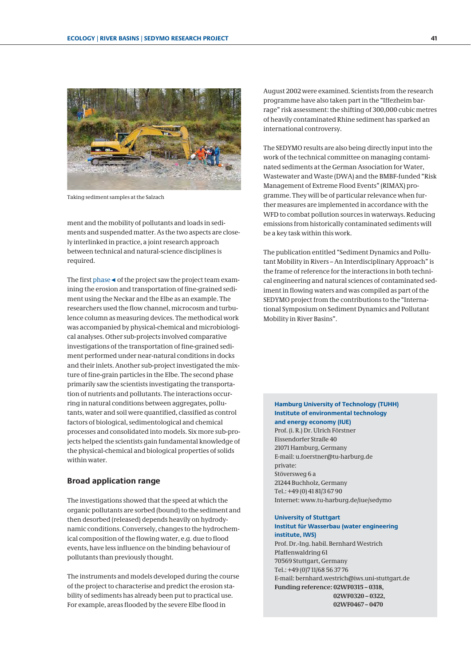

Taking sediment samples at the Salzach

ment and the mobility of pollutants and loads in sediments and suspended matter. As the two aspects are closely interlinked in practice, a joint research approach between technical and natural-science disciplines is required.

The first phase ◄ of the project saw the project team examining the erosion and transportation of fine-grained sediment using the Neckar and the Elbe as an example. The researchers used the flow channel, microcosm and turbulence column as measuring devices. The methodical work was accompanied by physical-chemical and microbiological analyses. Other sub-projects involved comparative investigations of the transportation of fine-grained sediment performed under near-natural conditions in docks and their inlets. Another sub-project investigated the mixture of fine-grain particles in the Elbe. The second phase primarily saw the scientists investigating the transportation of nutrients and pollutants. The interactions occurring in natural conditions between aggregates, pollutants, water and soil were quantified, classified as control factors of biological, sedimentological and chemical processes and consolidated into models. Six more sub-projects helped the scientists gain fundamental knowledge of the physical-chemical and biological properties of solids within water.

### **Broad application range**

The investigations showed that the speed at which the organic pollutants are sorbed (bound) to the sediment and then desorbed (released) depends heavily on hydrodynamic conditions. Conversely, changes to the hydrochemical composition of the flowing water, e.g. due to flood events, have less influence on the binding behaviour of pollutants than previously thought.

The instruments and models developed during the course of the project to characterise and predict the erosion stability of sediments has already been put to practical use. For example, areas flooded by the severe Elbe flood in

August 2002 were examined. Scientists from the research programme have also taken part in the "Iffezheim barrage" risk assessment: the shifting of 300,000 cubic metres of heavily contaminated Rhine sediment has sparked an international controversy.

The [SEDYMO](http://www.tu-harburg.de/iue/sedymo/english/e_maine.htm) results are also being directly input into the work of the technical committee on managing contaminated sediments at the German Association for Water, [Wastewater and Waste \(DWA\) and the BMBF-funded "Risk](http://rimax-hot.ifh.uni-karlsruhe.de/index.php?lang=en) Management of Extreme Flood Events" (RIMAX) programme. They will be of particular relevance when further measures are implemented in accordance with the WFD to combat pollution sources in waterways. Reducing emissions from historically contaminated sediments will be a key task within this work.

The publication entitled "Sediment Dynamics and Pollutant Mobility in Rivers – An Interdisciplinary Approach" is the frame of reference for the interactions in both technical engineering and natural sciences of contaminated sediment in flowing waters and was compiled as part of the SEDYMO project from the contributions to the "International Symposium on Sediment Dynamics and Pollutant Mobility in River Basins".

### **Hamburg University of Technology (TUHH) Institute of environmental technology and energy economy (IUE)**

Prof. (i. R.) Dr. Ulrich Förstner Eissendorfer Straße 40 21071 Hamburg, Germany E-mail: u.foerstner@tu-harburg.de private: Stöversweg 6 a 21244 Buchholz, Germany Tel.: +49 (0) 41 81/3 67 90 Internet: www.tu-harburg.de/iue/sedymo

#### **University of Stuttgart Institut für Wasserbau (water engineering**

 **institute, IWS)** Prof. Dr.-Ing. habil. Bernhard Westrich

Pfaffenwaldring 61 70569 Stuttgart, Germany Tel.: +49 (0)7 11/68 56 37 76 E-mail: bernhard.westrich@iws.uni-stuttgart.de **Funding reference: 02WF0315 – 0318, 02WF0320 – 0322, 02WF0467 – 0470**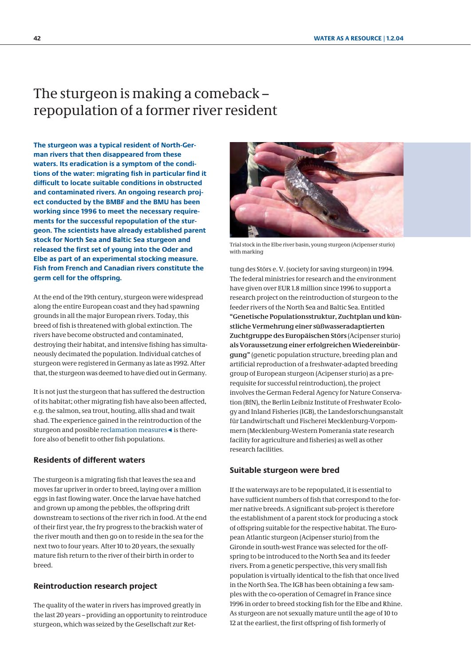# <span id="page-8-0"></span>The sturgeon is making a comeback – repopulation of a former river resident

**The sturgeon was a typical resident of North-German rivers that then disappeared from these waters. Its eradication is a symptom of the conditions of the water: migrating fish in particular find it difficult to locate suitable conditions in obstructed and contaminated rivers. An ongoing research project conducted by the BMBF and the BMU has been working since 1996 to meet the necessary requirements for the successful repopulation of the sturgeon. The scientists have already established parent stock for North Sea and Baltic Sea sturgeon and released the first set of young into the Oder and Elbe as part of an experimental stocking measure. Fish from French and Canadian rivers constitute the germ cell for the offspring.**

At the end of the 19th century, sturgeon were widespread along the entire European coast and they had spawning grounds in all the major European rivers. Today, this breed of fish is threatened with global extinction. The rivers have become obstructed and contaminated, destroying their habitat, and intensive fishing has simultaneously decimated the population. Individual catches of sturgeon were registered in Germany as late as 1992. After that, the sturgeon was deemed to have died out in Germany.

It is not just the sturgeon that has suffered the destruction of its habitat; other migrating fish have also been affected, e.g. the salmon, sea trout, houting, allis shad and twait shad. The experience gained in the reintroduction of the sturgeon and possible reclamation measures◄ is therefore also of benefit to other fish populations.

### **Residents of different waters**

The sturgeon is a migrating fish that leaves the sea and moves far upriver in order to breed, laying over a million eggs in fast flowing water. Once the larvae have hatched and grown up among the pebbles, the offspring drift downstream to sections of the river rich in food. At the end of their first year, the fry progress to the brackish water of the river mouth and then go on to reside in the sea for the next two to four years. After 10 to 20 years, the sexually mature fish return to the river of their birth in order to breed.

## **Reintroduction research project**

The quality of the water in rivers has improved greatly in the last 20 years – providing an opportunity to reintroduce sturgeon, which was seized by the Gesellschaft zur Ret-



Trial stock in the Elbe river basin, young sturgeon (Acipenser sturio) with marking

tung des Störs e. V. (society for saving sturgeon) in 1994. The federal ministries for research and the environment have given over EUR 1.8 million since 1996 to support a research project on the reintroduction of sturgeon to the feeder rivers of the North Sea and Baltic Sea. Entitled **"Genetische Populationsstruktur, Zuchtplan und künstliche Vermehrung einer süßwasseradaptierten Zuchtgruppe des Europäischen Störs** (Acipenser sturio) **als Voraussetzung einer erfolgreichen Wiedereinbürgung"** (genetic population structure, breeding plan and artificial reproduction of a freshwater-adapted breeding group of European sturgeon (Acipenser sturio) as a prerequisite for successful reintroduction), the project involves the German Federal Agency for Nature Conservation (BfN), the Berlin Leibniz Institute of Freshwater Ecology and Inland Fisheries (IGB), the Landesforschungsanstalt für Landwirtschaft und Fischerei Mecklenburg-Vorpommern (Mecklenburg-Western Pomerania state research facility for agriculture and fisheries) as well as other research facilities.

### **Suitable sturgeon were bred**

If the waterways are to be repopulated, it is essential to have sufficient numbers of fish that correspond to the former native breeds. A significant sub-project is therefore the establishment of a parent stock for producing a stock of offspring suitable for the respective habitat. The European Atlantic sturgeon (Acipenser sturio) from the Gironde in south-west France was selected for the offspring to be introduced to the North Sea and its feeder rivers. From a genetic perspective, this very small fish population is virtually identical to the fish that once lived in the North Sea. The IGB has been obtaining a few samples with the co-operation of Cemagref in France since 1996 in order to breed stocking fish for the Elbe and Rhine. As sturgeon are not sexually mature until the age of 10 to 12 at the earliest, the first offspring of fish formerly of